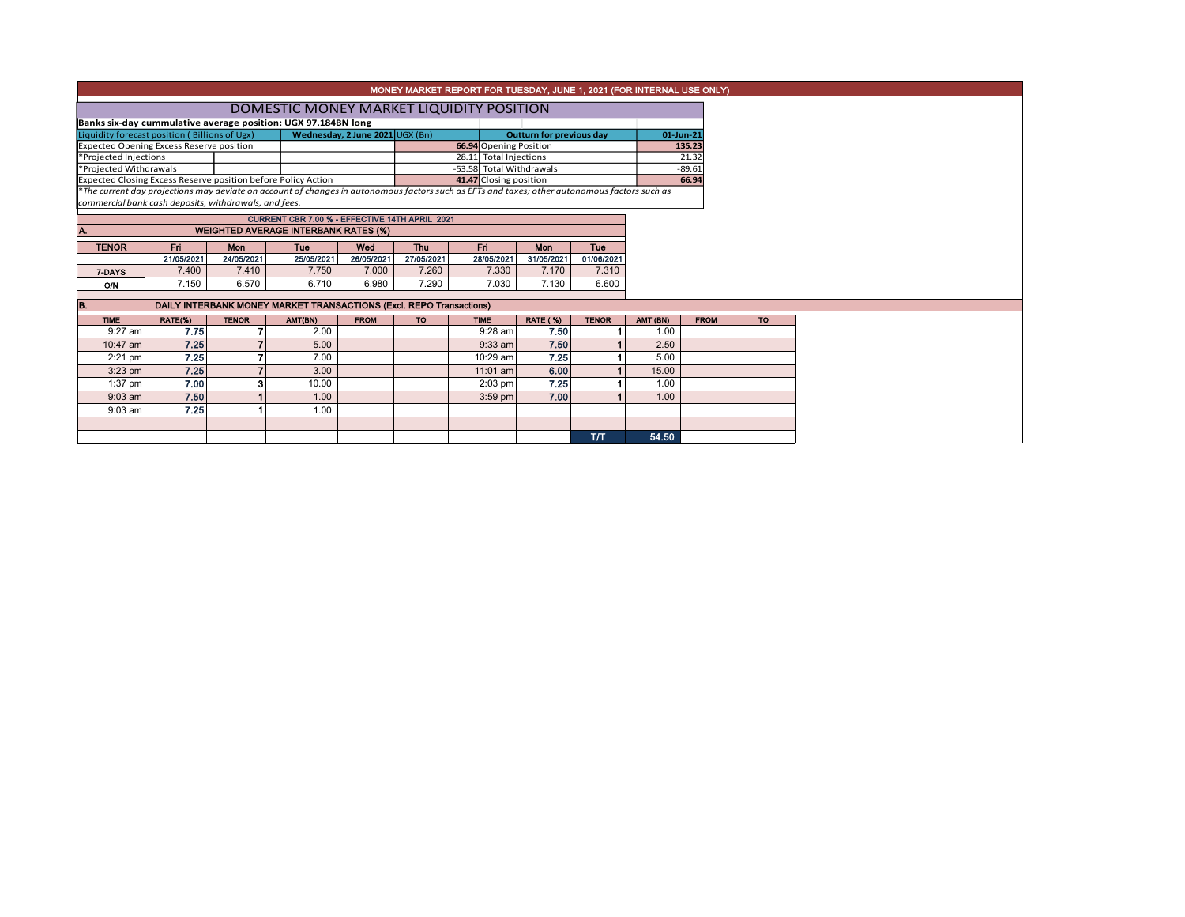|                                                                                                                                                                                                                                                          |                 |                                                                     |                                          |                                 |                          | MONEY MARKET REPORT FOR TUESDAY, JUNE 1, 2021 (FOR INTERNAL USE ONLY) |                                 |              |                  |             |  |
|----------------------------------------------------------------------------------------------------------------------------------------------------------------------------------------------------------------------------------------------------------|-----------------|---------------------------------------------------------------------|------------------------------------------|---------------------------------|--------------------------|-----------------------------------------------------------------------|---------------------------------|--------------|------------------|-------------|--|
|                                                                                                                                                                                                                                                          |                 |                                                                     | DOMESTIC MONEY MARKET LIQUIDITY POSITION |                                 |                          |                                                                       |                                 |              |                  |             |  |
|                                                                                                                                                                                                                                                          |                 | Banks six-day cummulative average position: UGX 97.184BN long       |                                          |                                 |                          |                                                                       |                                 |              |                  |             |  |
| Liquidity forecast position (Billions of Ugx)                                                                                                                                                                                                            |                 |                                                                     |                                          | Wednesday, 2 June 2021 UGX (Bn) |                          |                                                                       | <b>Outturn for previous day</b> |              |                  | 01-Jun-21   |  |
| <b>Expected Opening Excess Reserve position</b>                                                                                                                                                                                                          |                 |                                                                     |                                          |                                 |                          | 66.94 Opening Position                                                |                                 |              |                  | 135.23      |  |
| *Projected Injections<br>*Projected Withdrawals                                                                                                                                                                                                          |                 |                                                                     |                                          |                                 |                          | 28.11 Total Injections                                                |                                 |              |                  | 21.32       |  |
| *The current day projections may deviate on account of changes in autonomous factors such as EFTs and taxes; other autonomous factors such as<br>commercial bank cash deposits, withdrawals, and fees.<br>CURRENT CBR 7.00 % - EFFECTIVE 14TH APRIL 2021 |                 |                                                                     |                                          |                                 | -53.58 Total Withdrawals |                                                                       |                                 |              | $-89.61$         |             |  |
| Expected Closing Excess Reserve position before Policy Action                                                                                                                                                                                            |                 |                                                                     |                                          | 41.47 Closing position          |                          |                                                                       |                                 | 66.94        |                  |             |  |
|                                                                                                                                                                                                                                                          |                 |                                                                     |                                          |                                 |                          |                                                                       |                                 |              |                  |             |  |
|                                                                                                                                                                                                                                                          |                 |                                                                     |                                          |                                 |                          |                                                                       |                                 |              |                  |             |  |
|                                                                                                                                                                                                                                                          |                 |                                                                     |                                          |                                 |                          |                                                                       |                                 |              |                  |             |  |
| A.                                                                                                                                                                                                                                                       |                 | <b>WEIGHTED AVERAGE INTERBANK RATES (%)</b>                         |                                          |                                 |                          |                                                                       |                                 |              |                  |             |  |
| <b>TENOR</b>                                                                                                                                                                                                                                             | Fri.            | Mon                                                                 | Tue                                      | Wed                             | <b>Thu</b>               | Fri                                                                   | <b>Mon</b>                      | Tue          |                  |             |  |
|                                                                                                                                                                                                                                                          | 21/05/2021      | 24/05/2021                                                          | 25/05/2021                               | 26/05/2021                      | 27/05/2021               | 28/05/2021                                                            | 31/05/2021                      | 01/06/2021   |                  |             |  |
| 7-DAYS                                                                                                                                                                                                                                                   | 7.400           | 7.410                                                               | 7.750                                    | 7.000                           | 7.260                    | 7.330                                                                 | 7.170                           | 7.310        |                  |             |  |
| <b>O/N</b>                                                                                                                                                                                                                                               | 7.150           | 6.570                                                               | 6.710                                    | 6.980                           | 7.290                    | 7.030                                                                 | 7.130                           | 6.600        |                  |             |  |
| B.                                                                                                                                                                                                                                                       |                 | DAILY INTERBANK MONEY MARKET TRANSACTIONS (Excl. REPO Transactions) |                                          |                                 |                          |                                                                       |                                 |              |                  |             |  |
|                                                                                                                                                                                                                                                          |                 |                                                                     |                                          |                                 |                          |                                                                       |                                 |              |                  |             |  |
| <b>TIME</b><br>$9:27$ am                                                                                                                                                                                                                                 | RATE(%)<br>7.75 | <b>TENOR</b>                                                        | AMT(BN)<br>2.00                          | <b>FROM</b>                     | <b>TO</b>                | <b>TIME</b><br>$9:28$ am                                              | <b>RATE (%)</b><br>7.50         | <b>TENOR</b> | AMT (BN)<br>1.00 | <b>FROM</b> |  |
|                                                                                                                                                                                                                                                          |                 |                                                                     |                                          |                                 |                          |                                                                       |                                 |              |                  |             |  |
| 10:47 am                                                                                                                                                                                                                                                 | 7.25            |                                                                     | 5.00                                     |                                 |                          | $9:33$ am                                                             | 7.50                            |              | 2.50             |             |  |
| $2:21$ pm                                                                                                                                                                                                                                                | 7.25            | 7                                                                   | 7.00                                     |                                 |                          | 10:29 am                                                              | 7.25                            |              | 5.00             |             |  |
| $3:23$ pm                                                                                                                                                                                                                                                | 7.25            |                                                                     | 3.00                                     |                                 |                          | $11:01$ am                                                            | 6.00                            |              | 15.00            |             |  |
| $1:37$ pm                                                                                                                                                                                                                                                | 7.00            | з                                                                   | 10.00                                    |                                 |                          | $2:03$ pm                                                             | 7.25                            |              | 1.00             |             |  |
| $9:03$ am                                                                                                                                                                                                                                                | 7.50            |                                                                     | 1.00                                     |                                 |                          | $3:59$ pm                                                             | 7.00                            |              | 1.00             |             |  |
| $9:03$ am                                                                                                                                                                                                                                                | 7.25            |                                                                     | 1.00                                     |                                 |                          |                                                                       |                                 |              |                  |             |  |
|                                                                                                                                                                                                                                                          |                 |                                                                     |                                          |                                 |                          |                                                                       |                                 |              |                  |             |  |
|                                                                                                                                                                                                                                                          |                 |                                                                     |                                          |                                 |                          |                                                                       |                                 | T/T          | 54.50            |             |  |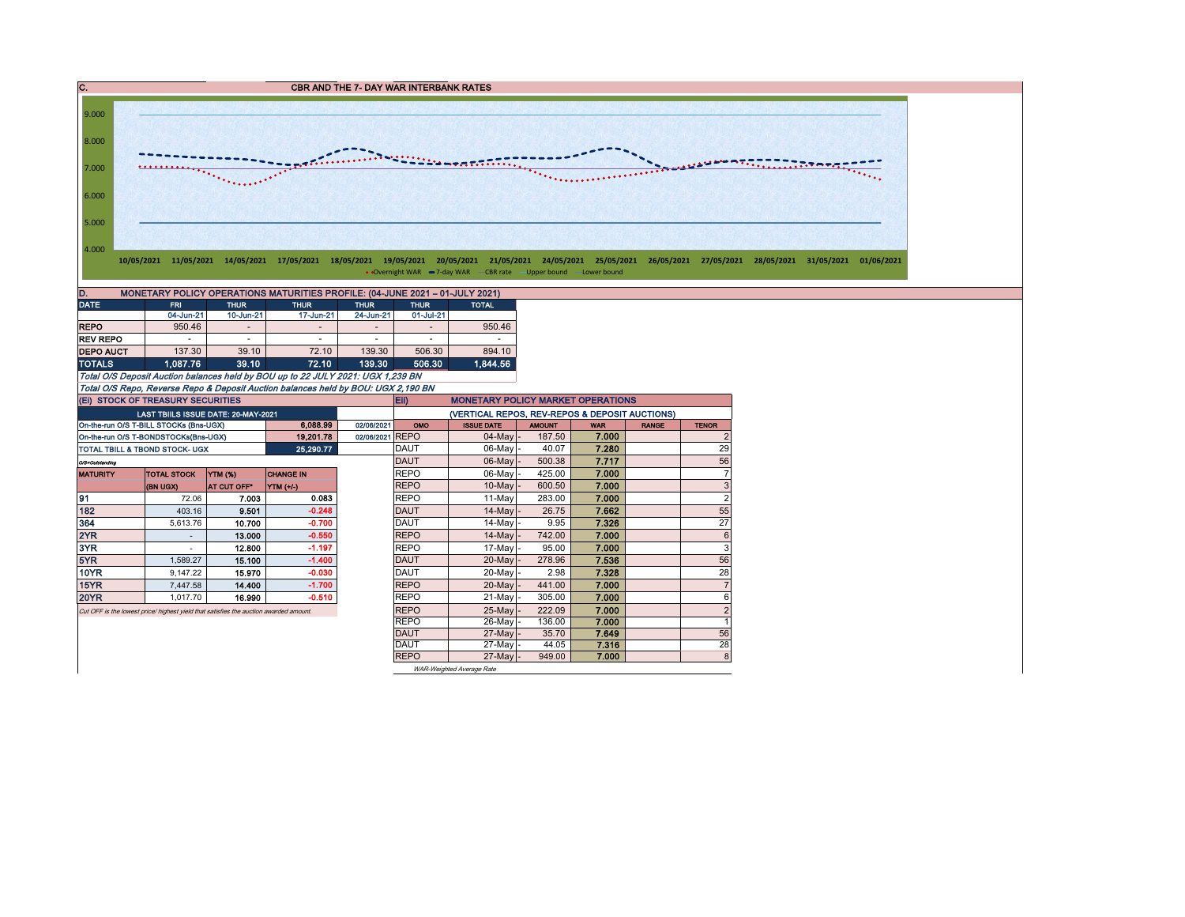C. CBR AND THE 7- DAY WAR INTERBANK RATES 9.000 8.000 **ACCOMMONDATIONS** 7.000 *Chainment*  $\overline{\cdots}$ 6.000 5.000 4.000 10/05/2021 11/05/2021 14/05/2021 17/05/2021 18/05/2021 19/05/2021 20/05/2021 21/05/2021 24/05/2021 25/05/2021 26/05/2021 27/05/2021 28/05/2021 31/05/2021 01/06/2021 • Overnight WAR -7-day WAR - CBR rate - Upper bound - Lower bound D. MONETARY POLICY OPERATIONS MATURITIES PROFILE: (04-JUNE 2021 – 01-JULY 2021) DATE FRI THUR THUR THUR THUR TOTAL 04-Jun-21 10-Jun-21 17-Jun-21 24-Jun-21 01-Jul-21 REPO | 950.46 - | - | - | - | 950.46 REV REPO - - - - - - 0 R DEPO AUCT 137.30 39.10 72.10 139.30 506.30 894.10<br>TOTALS 1,087.76 39.10 72.10 139.30 506.30 1,844.56 TOTALS 1,087.76 39.10 72.10 139.30 506.30 Total O/S Deposit Auction balances held by BOU up to 22 JULY 2021: UGX 1,239 BN Total O/S Repo, Reverse Repo & Deposit Auction balances held by BOU: UGX 2,190 BN

| (EI) STOCK OF TREASURY SECURITIES                                                                                                                                                                                                                                                                                                                                                                                                              |                                     |        |           |             | Eii)<br><b>MONETARY POLICY MARKET OPERATIONS</b> |                           |               |            |              |                |  |  |  |
|------------------------------------------------------------------------------------------------------------------------------------------------------------------------------------------------------------------------------------------------------------------------------------------------------------------------------------------------------------------------------------------------------------------------------------------------|-------------------------------------|--------|-----------|-------------|--------------------------------------------------|---------------------------|---------------|------------|--------------|----------------|--|--|--|
|                                                                                                                                                                                                                                                                                                                                                                                                                                                | LAST TBIILS ISSUE DATE: 20-MAY-2021 |        |           |             | (VERTICAL REPOS, REV-REPOS & DEPOSIT AUCTIONS)   |                           |               |            |              |                |  |  |  |
|                                                                                                                                                                                                                                                                                                                                                                                                                                                |                                     |        | 6,088.99  | 02/06/2021  | OMO                                              | <b>ISSUE DATE</b>         | <b>AMOUNT</b> | <b>WAR</b> | <b>RANGE</b> | <b>TENOR</b>   |  |  |  |
|                                                                                                                                                                                                                                                                                                                                                                                                                                                |                                     |        | 19 201.78 | 02/06/2021  | <b>REPO</b>                                      | $04$ -May $-$             | 187.50        | 7.000      |              | $\overline{2}$ |  |  |  |
|                                                                                                                                                                                                                                                                                                                                                                                                                                                |                                     |        | 25,290.77 |             | <b>DAUT</b>                                      | 06-May -                  | 40.07         | 7.280      |              | 29             |  |  |  |
| On-the-run O/S T-BILL STOCKs (Bns-UGX)<br>On-the-run O/S T-BONDSTOCKs(Bns-UGX)<br>TOTAL TBILL & TBOND STOCK- UGX<br>O/S=Outstanding<br><b>CHANGE IN</b><br><b>TOTAL STOCK</b><br>YTM (%)<br><b>MATURITY</b><br>(BN UGX)<br><b>AT CUT OFF*</b><br>$YIM(+/)$<br>191<br>7.003<br>72.06<br>182<br>9.501<br>403.16<br>364<br>5,613.76<br>10.700<br>2YR<br>13.000<br>3YR<br>12.800<br>5YR<br>15.100<br>1.589.27<br><b>10YR</b><br>15.970<br>9,147.22 |                                     |        |           | <b>DAUT</b> | 06-May                                           | 500.38                    | 7.717         |            | 56           |                |  |  |  |
|                                                                                                                                                                                                                                                                                                                                                                                                                                                |                                     |        |           |             | <b>REPO</b>                                      | 06-May -                  | 425.00        | 7.000      |              | 7              |  |  |  |
|                                                                                                                                                                                                                                                                                                                                                                                                                                                |                                     |        |           |             | <b>REPO</b>                                      | $10$ -May $\vert$ -       | 600.50        | 7.000      |              | 3              |  |  |  |
|                                                                                                                                                                                                                                                                                                                                                                                                                                                |                                     |        | 0.083     |             | <b>REPO</b>                                      | 11-Mav                    | 283.00        | 7.000      |              | $\overline{2}$ |  |  |  |
|                                                                                                                                                                                                                                                                                                                                                                                                                                                |                                     |        | $-0.248$  |             | <b>DAUT</b>                                      | $14$ -May $-$             | 26.75         | 7.662      |              | 55             |  |  |  |
|                                                                                                                                                                                                                                                                                                                                                                                                                                                |                                     |        | $-0.700$  |             | <b>DAUT</b>                                      | 14-May -                  | 9.95          | 7.326      |              | 27             |  |  |  |
|                                                                                                                                                                                                                                                                                                                                                                                                                                                |                                     |        | $-0.550$  |             | <b>REPO</b>                                      | 14-May                    | 742.00        | 7.000      |              | 6              |  |  |  |
|                                                                                                                                                                                                                                                                                                                                                                                                                                                |                                     |        | $-1.197$  |             | <b>REPO</b>                                      | $17$ -May -               | 95.00         | 7.000      |              | 3              |  |  |  |
|                                                                                                                                                                                                                                                                                                                                                                                                                                                |                                     |        | $-1.400$  |             | <b>DAUT</b>                                      | 20-May -                  | 278.96        | 7.536      |              | 56             |  |  |  |
|                                                                                                                                                                                                                                                                                                                                                                                                                                                |                                     |        | $-0.030$  |             | <b>DAUT</b>                                      | 20-May -                  | 2.98          | 7.328      |              | 28             |  |  |  |
| 15YR                                                                                                                                                                                                                                                                                                                                                                                                                                           | 7,447.58                            | 14.400 | $-1.700$  |             | <b>REPO</b>                                      | 20-May -                  | 441.00        | 7.000      |              | $\overline{7}$ |  |  |  |
| <b>20YR</b>                                                                                                                                                                                                                                                                                                                                                                                                                                    | 1.017.70                            | 16.990 | $-0.510$  |             | <b>REPO</b>                                      | $21$ -May                 | 305.00        | 7.000      |              | 6              |  |  |  |
| Cut OFF is the lowest price/ highest yield that satisfies the auction awarded amount.                                                                                                                                                                                                                                                                                                                                                          |                                     |        |           |             | <b>REPO</b>                                      | 25-Mayl                   | 222.09        | 7.000      |              | $\overline{c}$ |  |  |  |
|                                                                                                                                                                                                                                                                                                                                                                                                                                                |                                     |        |           |             | <b>REPO</b>                                      | 26-May -                  | 136.00        | 7.000      |              |                |  |  |  |
|                                                                                                                                                                                                                                                                                                                                                                                                                                                |                                     |        |           |             | <b>DAUT</b>                                      | 27-May -                  | 35.70         | 7.649      |              | 56             |  |  |  |
|                                                                                                                                                                                                                                                                                                                                                                                                                                                |                                     |        |           |             | <b>DAUT</b>                                      | 27-May -                  | 44.05         | 7.316      |              | 28             |  |  |  |
|                                                                                                                                                                                                                                                                                                                                                                                                                                                |                                     |        |           |             | <b>REPO</b>                                      | $27$ -May -               | 949.00        | 7.000      |              | 8              |  |  |  |
|                                                                                                                                                                                                                                                                                                                                                                                                                                                |                                     |        |           |             |                                                  | WAR-Weighted Average Rate |               |            |              |                |  |  |  |